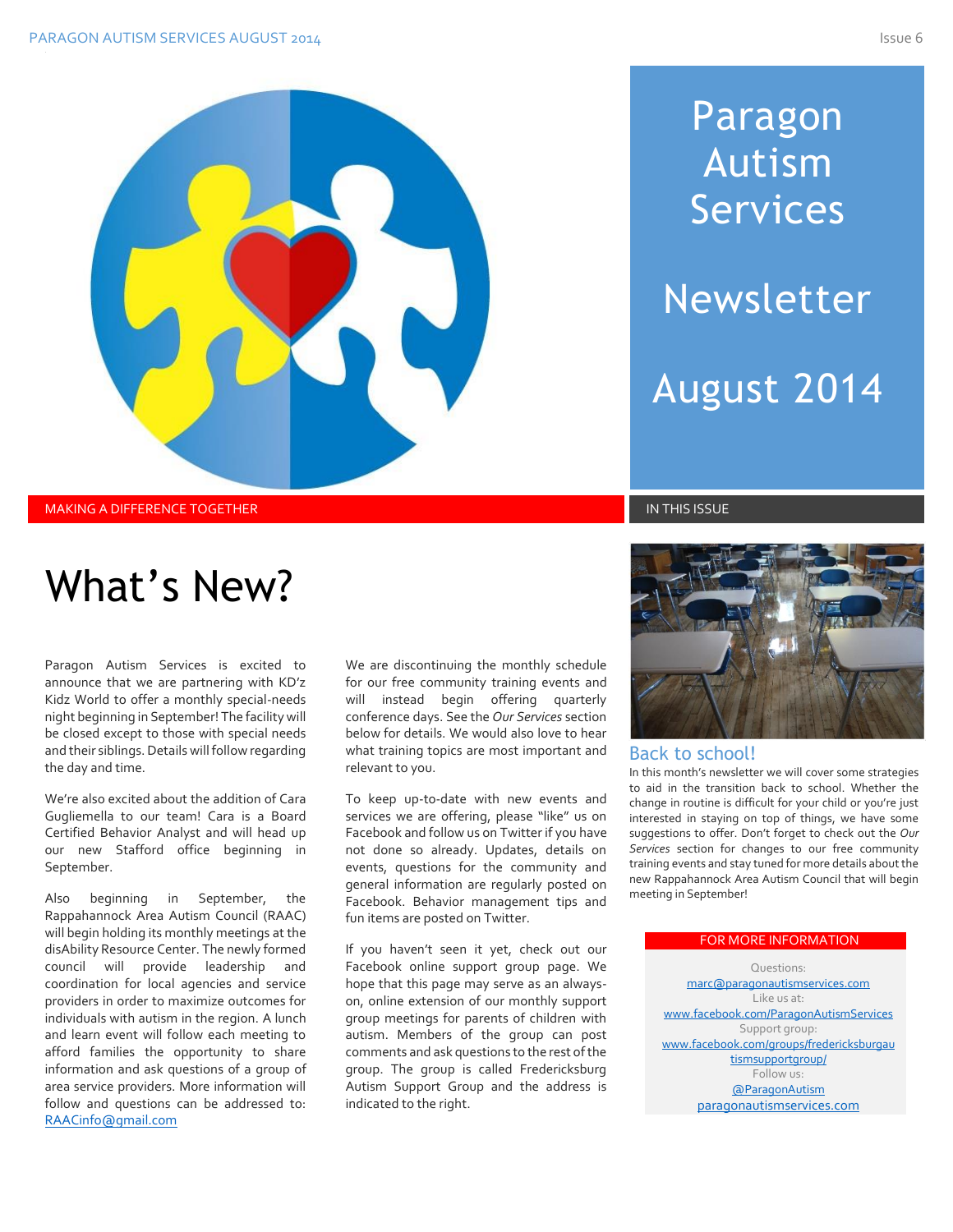# Paragon Autism Services Newsletter

August 2014

MAKING A DIFFERENCE TOGETHER IN THIS ISSUE IN THIS ISSUE IN THIS ISSUE IN THIS ISSUE IN THIS ISSUE

# What's New?

Paragon Autism Services is excited to announce that we are partnering with KD'z Kidz World to offer a monthly special-needs night beginning in September! The facility will be closed except to those with special needs and their siblings. Details will follow regarding the day and time.

We're also excited about the addition of Cara Gugliemella to our team! Cara is a Board Certified Behavior Analyst and will head up our new Stafford office beginning in September.

Also beginning in September, the Rappahannock Area Autism Council (RAAC) will begin holding its monthly meetings at the disAbility Resource Center. The newly formed council will provide leadership and coordination for local agencies and service providers in order to maximize outcomes for individuals with autism in the region. A lunch and learn event will follow each meeting to afford families the opportunity to share information and ask questions of a group of area service providers. More information will follow and questions can be addressed to: <RAACinfo@gmail.com>

We are discontinuing the monthly schedule for our free community training events and will instead begin offering quarterly conference days. See the *Our Services* section below for details. We would also love to hear what training topics are most important and relevant to you.

To keep up-to-date with new events and services we are offering, please "like" us on Facebook and follow us on Twitter if you have not done so already. Updates, details on events, questions for the community and general information are regularly posted on Facebook. Behavior management tips and fun items are posted on Twitter.

If you haven't seen it yet, check out our Facebook online support group page. We hope that this page may serve as an alwayson, online extension of our monthly support group meetings for parents of children with autism. Members of the group can post comments and ask questions to the rest of the group. The group is called Fredericksburg Autism Support Group and the address is indicated to the right.



#### Back to school!

In this month's newsletter we will cover some strategies to aid in the transition back to school. Whether the change in routine is difficult for your child or you're just interested in staying on top of things, we have some suggestions to offer. Don't forget to check out the *Our Services* section for changes to our free community training events and stay tuned for more details about the new Rappahannock Area Autism Council that will begin meeting in September!

#### FOR MORE INFORMATION

Questions: [marc@paragonautismservices.com](mailto:marc@paragonautismservices.com)  Like us at: [www.facebook.com/ParagonAutismServices](http://www.facebook.com/ParagonAutismServices) Support group: [www.facebook.com/groups/fredericksburgau](http://www.facebook.com/groups/fredericksburgautismsupportgroup/) [tismsupportgroup/](http://www.facebook.com/groups/fredericksburgautismsupportgroup/) Follow us: [@ParagonAutism](https://twitter.com/ParagonAutism) [paragonautismservices.com](http://paragonautismservices.com/)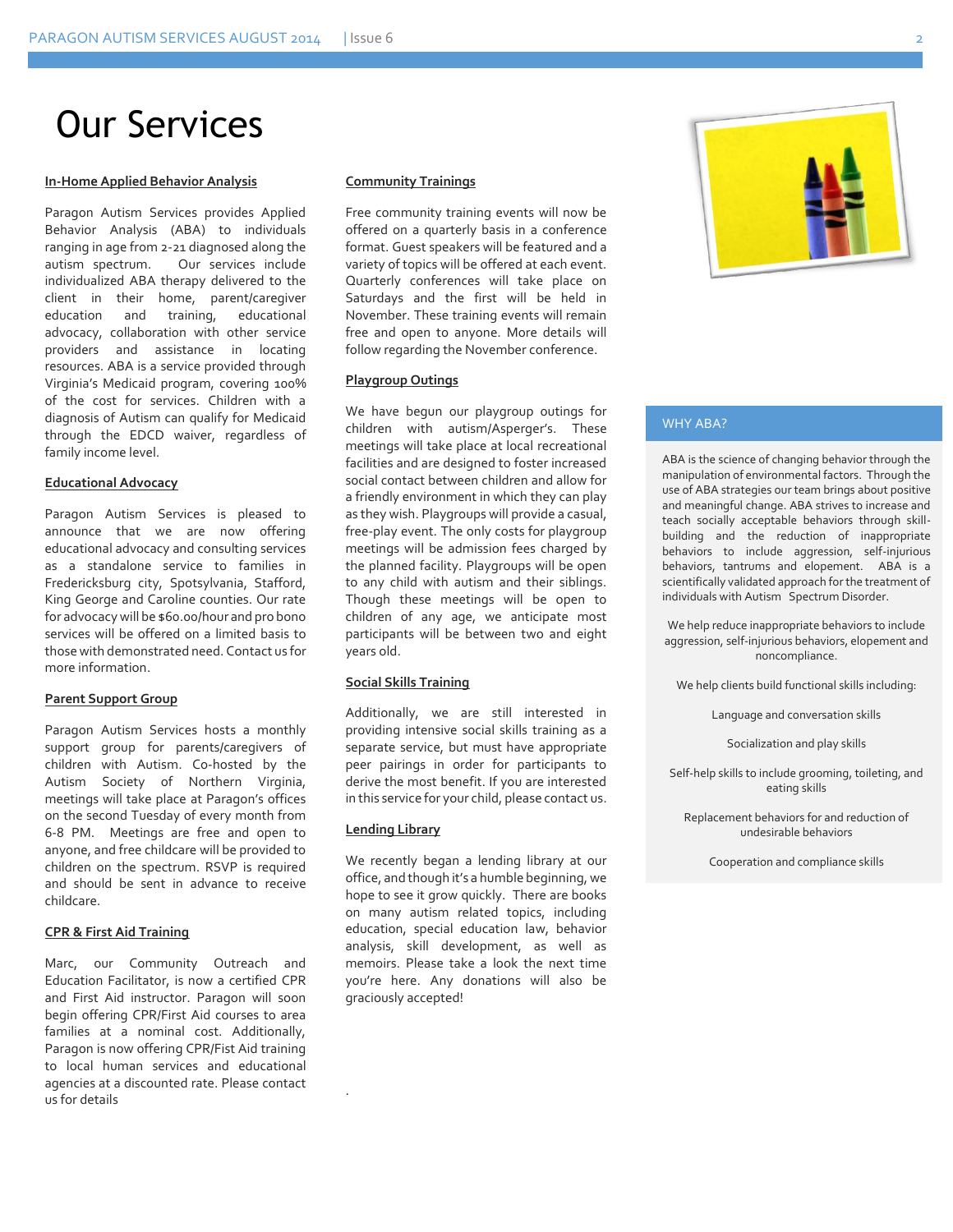## Our Services

#### **In-Home Applied Behavior Analysis**

Paragon Autism Services provides Applied Behavior Analysis (ABA) to individuals ranging in age from 2-21 diagnosed along the autism spectrum. Our services include individualized ABA therapy delivered to the client in their home, parent/caregiver education and training, educational advocacy, collaboration with other service providers and assistance in locating resources. ABA is a service provided through Virginia's Medicaid program, covering 100% of the cost for services. Children with a diagnosis of Autism can qualify for Medicaid through the EDCD waiver, regardless of family income level.

#### **Educational Advocacy**

Paragon Autism Services is pleased to announce that we are now offering educational advocacy and consulting services as a standalone service to families in Fredericksburg city, Spotsylvania, Stafford, King George and Caroline counties. Our rate for advocacy will be \$60.00/hour and pro bono services will be offered on a limited basis to those with demonstrated need. Contact us for more information.

#### **Parent Support Group**

Paragon Autism Services hosts a monthly support group for parents/caregivers of children with Autism. Co-hosted by the Autism Society of Northern Virginia, meetings will take place at Paragon's offices on the second Tuesday of every month from 6-8 PM. Meetings are free and open to anyone, and free childcare will be provided to children on the spectrum. RSVP is required and should be sent in advance to receive childcare.

#### **CPR & First Aid Training**

Marc, our Community Outreach and Education Facilitator, is now a certified CPR and First Aid instructor. Paragon will soon begin offering CPR/First Aid courses to area families at a nominal cost. Additionally, Paragon is now offering CPR/Fist Aid training to local human services and educational agencies at a discounted rate. Please contact us for details

#### **Community Trainings**

Free community training events will now be offered on a quarterly basis in a conference format. Guest speakers will be featured and a variety of topics will be offered at each event. Quarterly conferences will take place on Saturdays and the first will be held in November. These training events will remain free and open to anyone. More details will follow regarding the November conference.

#### **Playgroup Outings**

We have begun our playgroup outings for children with autism/Asperger's. These meetings will take place at local recreational facilities and are designed to foster increased social contact between children and allow for a friendly environment in which they can play as they wish. Playgroups will provide a casual, free-play event. The only costs for playgroup meetings will be admission fees charged by the planned facility. Playgroups will be open to any child with autism and their siblings. Though these meetings will be open to children of any age, we anticipate most participants will be between two and eight years old.

#### **Social Skills Training**

Additionally, we are still interested in providing intensive social skills training as a separate service, but must have appropriate peer pairings in order for participants to derive the most benefit. If you are interested in this service for your child, please contact us.

#### **Lending Library**

.

We recently began a lending library at our office, and though it's a humble beginning, we hope to see it grow quickly. There are books on many autism related topics, including education, special education law, behavior analysis, skill development, as well as memoirs. Please take a look the next time you're here. Any donations will also be graciously accepted!



#### WHY ABA?

ABA is the science of changing behavior through the manipulation of environmental factors. Through the use of ABA strategies our team brings about positive and meaningful change. ABA strives to increase and teach socially acceptable behaviors through skillbuilding and the reduction of inappropriate behaviors to include aggression, self-injurious behaviors, tantrums and elopement. ABA is a scientifically validated approach for the treatment of individuals with Autism Spectrum Disorder.

We help reduce inappropriate behaviors to include aggression, self-injurious behaviors, elopement and noncompliance.

We help clients build functional skills including:

Language and conversation skills

Socialization and play skills

Self-help skills to include grooming, toileting, and eating skills

Replacement behaviors for and reduction of undesirable behaviors

Cooperation and compliance skills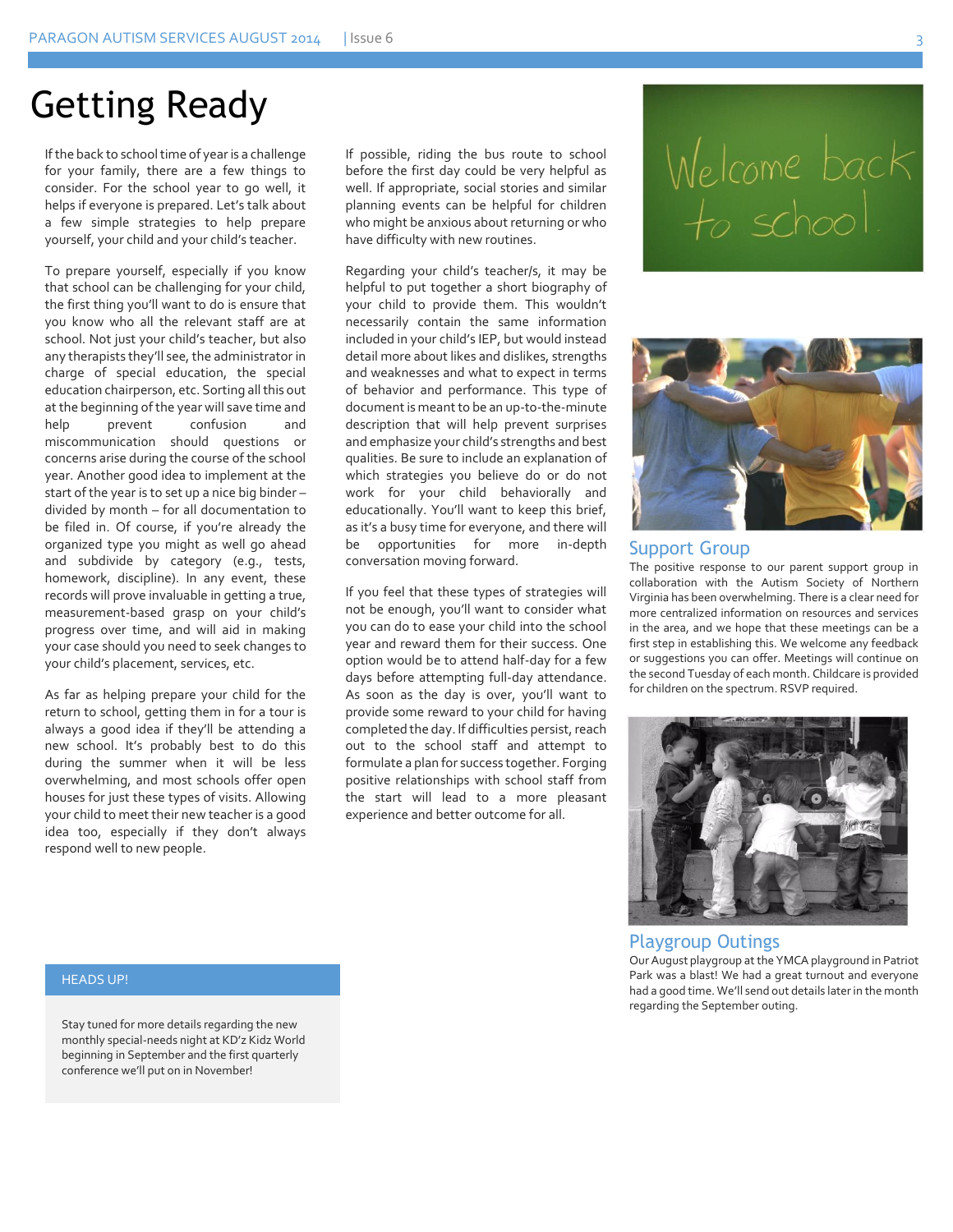### Getting Ready

If the back to school time of year is a challenge for your family, there are a few things to consider. For the school year to go well, it helps if everyone is prepared. Let's talk about a few simple strategies to help prepare yourself, your child and your child's teacher.

To prepare yourself, especially if you know that school can be challenging for your child, the first thing you'll want to do is ensure that you know who all the relevant staff are at school. Not just your child's teacher, but also any therapists they'll see, the administrator in charge of special education, the special education chairperson, etc. Sorting all this out at the beginning of the year will save time and help prevent confusion and miscommunication should questions or concerns arise during the course of the school year. Another good idea to implement at the start of the year is to set up a nice big binder – divided by month – for all documentation to be filed in. Of course, if you're already the organized type you might as well go ahead and subdivide by category (e.g., tests, homework, discipline). In any event, these records will prove invaluable in getting a true, measurement-based grasp on your child's progress over time, and will aid in making your case should you need to seek changes to your child's placement, services, etc.

As far as helping prepare your child for the return to school, getting them in for a tour is always a good idea if they'll be attending a new school. It's probably best to do this during the summer when it will be less overwhelming, and most schools offer open houses for just these types of visits. Allowing your child to meet their new teacher is a good idea too, especially if they don't always respond well to new people.

If possible, riding the bus route to school before the first day could be very helpful as well. If appropriate, social stories and similar planning events can be helpful for children who might be anxious about returning or who have difficulty with new routines.

Regarding your child's teacher/s, it may be helpful to put together a short biography of your child to provide them. This wouldn't necessarily contain the same information included in your child's IEP, but would instead detail more about likes and dislikes, strengths and weaknesses and what to expect in terms of behavior and performance. This type of document is meant to be an up-to-the-minute description that will help prevent surprises and emphasize your child's strengths and best qualities. Be sure to include an explanation of which strategies you believe do or do not work for your child behaviorally and educationally. You'll want to keep this brief, as it's a busy time for everyone, and there will be opportunities for more in-depth conversation moving forward.

If you feel that these types of strategies will not be enough, you'll want to consider what you can do to ease your child into the school year and reward them for their success. One option would be to attend half-day for a few days before attempting full-day attendance. As soon as the day is over, you'll want to provide some reward to your child for having completed the day. If difficulties persist, reach out to the school staff and attempt to formulate a plan for success together. Forging positive relationships with school staff from the start will lead to a more pleasant experience and better outcome for all.

# Welcome back<br>to school.



#### Support Group

The positive response to our parent support group in collaboration with the Autism Society of Northern Virginia has been overwhelming. There is a clear need for more centralized information on resources and services in the area, and we hope that these meetings can be a first step in establishing this. We welcome any feedback or suggestions you can offer. Meetings will continue on the second Tuesday of each month. Childcare is provided for children on the spectrum. RSVP required.



Playgroup Outings Our August playgroup at the YMCA playground in Patriot Park was a blast! We had a great turnout and everyone had a good time. We'll send out details later in the month regarding the September outing.

#### HEADS UP!

Stay tuned for more details regarding the new monthly special-needs night at KD'z Kidz World beginning in September and the first quarterly conference we'll put on in November!